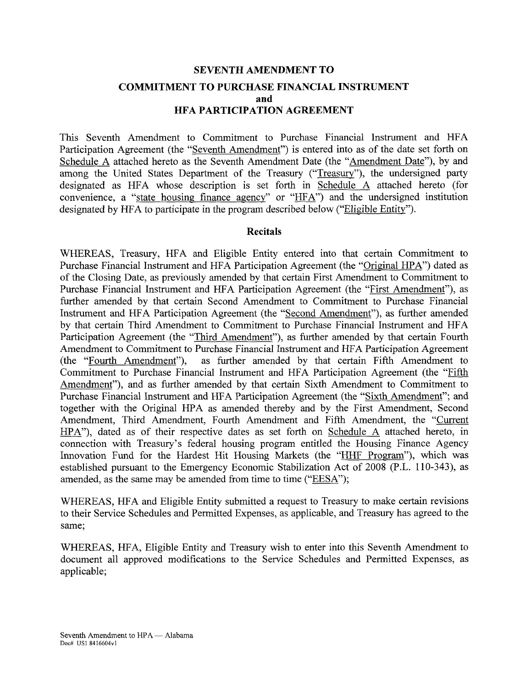# **SEVENTH AMENDMENT TO COMMITMENT TO PURCHASE FINANCIAL INSTRUMENT and HFA PARTICIPATION AGREEMENT**

This Seventh Amendment to Commitment to Purchase Financial Instrument and HFA Participation Agreement (the "Seventh Amendment") is entered into as of the date set forth on Schedule A attached hereto as the Seventh Amendment Date (the "Amendment Date"), by and among the United States Department of the Treasury ("Treasury"), the undersigned party designated as HFA whose description is set forth in Schedule A attached hereto (for convenience, a "state housing finance agency" or " $HFA$ ") and the undersigned institution designated by HFA to participate in the program described below ("Eligible Entity").

#### **Recitals**

WHEREAS, Treasury, HFA and Eligible Entity entered into that certain Commitment to Purchase Financial Instrument and HFA Participation Agreement (the "Original HPA") dated as of the Closing Date, as previously amended by that certain First Amendment to Commitment to Purchase Financial Instrument and HFA Participation Agreement (the "First Amendment"), as further amended by that certain Second Amendment to Commitment to Purchase Financial Instrument and HFA Participation Agreement (the "Second Amendment"), as further amended by that certain Third Amendment to Commitment to Purchase Financial Instrument and HFA Participation Agreement (the "Third Amendment"), as further amended by that certain Fourth Amendment to Commitment to Purchase Financial Instrument and HFA Participation Agreement (the "Fourth Amendment"), as further amended by that certain Fifth Amendment to Commitment to Purchase Financial Instrument and HFA Participation Agreement (the "Fifth Amendment"), and as further amended by that certain Sixth Amendment to Commitment to Purchase Financial Instrument and HFA Participation Agreement (the "Sixth Amendment"; and together with the Original HPA as amended thereby and by the First Amendment, Second Amendment, Third Amendment, Fourth Amendment and Fifth Amendment, the "Current HPA"), dated as of their respective dates as set forth on Schedule A attached hereto, in connection with Treasury's federal housing program entitled the Housing Finance Agency Innovation Fund for the Hardest Hit Housing Markets (the "HHF Program"), which was established pursuant to the Emergency Economic Stabilization Act of 2008 (P.L. 110-343), as amended, as the same may be amended from time to time ("EESA");

WHEREAS, HFA and Eligible Entity submitted a request to Treasury to make certain revisions to their Service Schedules and Permitted Expenses, as applicable, and Treasury has agreed to the same;

WHEREAS, HFA, Eligible Entity and Treasury wish to enter into this Seventh Amendment to document all approved modifications to the Service Schedules and Permitted Expenses, as applicable;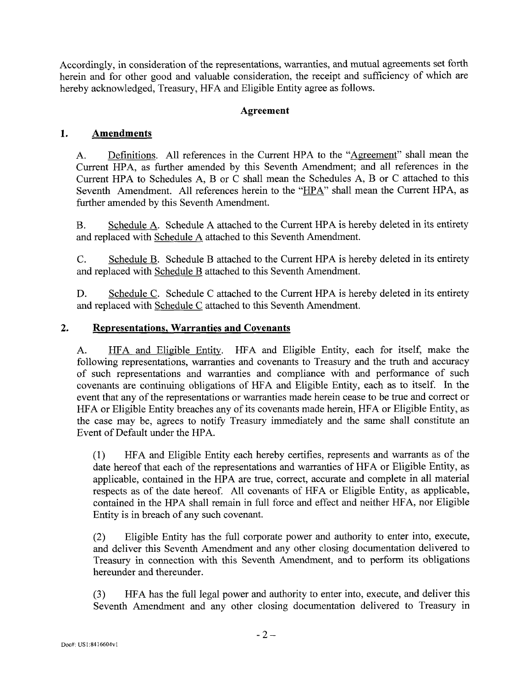Accordingly, in consideration of the representations, warranties, and mutual agreements set forth herein and for other good and valuable consideration, the receipt and sufficiency of which are hereby acknowledged, Treasury, HFA and Eligible Entity agree as follows.

## **Agreement**

## **1. Amendments**

A. Definitions. All references in the Current HPA to the "Agreement" shall mean the Current HPA, as further amended by this Seventh Amendment; and all references in the Current HPA to Schedules A, B or C shall mean the Schedules A, B or C attached to this Seventh Amendment. All references herein to the "HPA" shall mean the Current HPA, as further amended by this Seventh Amendment.

B. Schedule A. Schedule A attached to the Current HPA is hereby deleted in its entirety and replaced with Schedule A attached to this Seventh Amendment.

C. Schedule B. Schedule B attached to the Current HPA is hereby deleted in its entirety and replaced with Schedule B attached to this Seventh Amendment.

D. Schedule C. Schedule C attached to the Current HPA is hereby deleted in its entirety and replaced with Schedule C attached to this Seventh Amendment.

#### **2. Representations, Warranties and Covenants**

A. HFA and Eligible Entity. HFA and Eligible Entity, each for itself, make the following representations, warranties and covenants to Treasury and the truth and accuracy of such representations and warranties and compliance with and performance of such covenants are continuing obligations of HFA and Eligible Entity, each as to itself. In the event that any of the representations or warranties made herein cease to be true and correct or HFA or Eligible Entity breaches any of its covenants made herein, HFA or Eligible Entity, as the case may be, agrees to notify Treasury immediately and the same shall constitute an Event of Default under the HPA.

(1) HFA and Eligible Entity each hereby certifies, represents and warrants as of the date hereof that each of the representations and warranties of HFA or Eligible Entity, as applicable, contained in the HPA are true, correct, accurate and complete in all material respects as of the date hereof. All covenants of HFA or Eligible Entity, as applicable, contained in the HPA shall remain in full force and effect and neither HFA, nor Eligible Entity is in breach of any such covenant.

(2) Eligible Entity has the full corporate power and authority to enter into, execute, and deliver this Seventh Amendment and any other closing documentation delivered to Treasury in connection with this Seventh Amendment, and to perform its obligations hereunder and thereunder.

(3) HFA has the full legal power and authority to enter into, execute, and deliver this Seventh Amendment and any other closing documentation delivered to Treasury in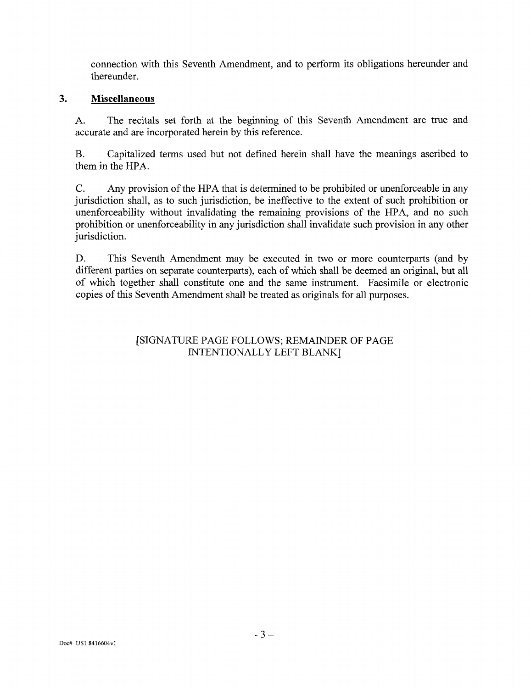connection with this Seventh Amendment, and to perform its obligations hereunder and thereunder.

#### $3.$ **Miscellaneous**

A. The recitals set forth at the beginning of this Seventh Amendment are true and accurate and are incorporated herein by this reference.

B. Capitalized terms used but not defined herein shall have the meanings ascribed to them in the HPA.

C. Any provision of the HPA that is determined to be prohibited or unenforceable in any jurisdiction shall, as to such jurisdiction, be ineffective to the extent of such prohibition or unenforceability without invalidating the remaining provisions of the HPA, and no such prohibition or unenforceability in any jurisdiction shall invalidate such provision in any other jurisdiction.

D. This Seventh Amendment may be executed in two or more counterparts (and by different parties on separate counterparts), each of which shall be deemed an original, but all of which together shall constitute one and the same instrument. Facsimile or electronic copies of this Seventh Amendment shall be treated as originals for all purposes.

## [SIGNATURE PAGE FOLLOWS; REMAINDER OF PAGE INTENTIONALLY LEFT BLANK]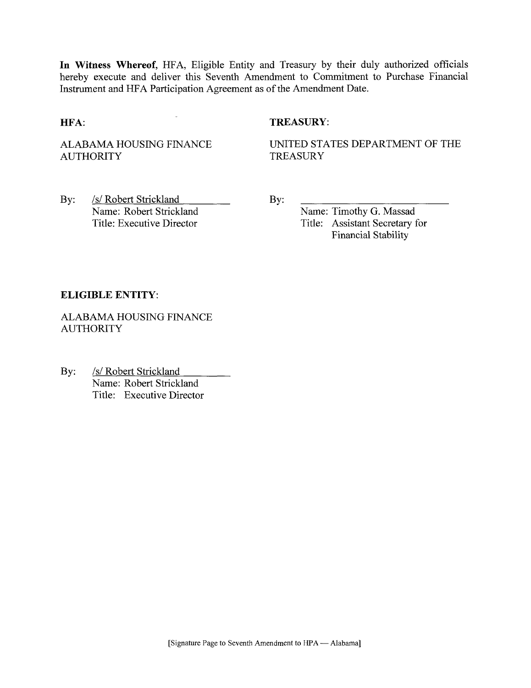**In Witness Whereof,** HFA, Eligible Entity and Treasury by their duly authorized officials hereby execute and deliver this Seventh Amendment to Commitment to Purchase Financial Instrument and HFA Participation Agreement as of the Amendment Date.

# **HFA:** TREASURY:

ALABAMA HOUSING FINANCE AUTHORITY

UNITED STATES DEPARTMENT OF THE **TREASURY** 

By: /s/ Robert Strickland Name: Robert Strickland Title: Executive Director

By:

Name: Timothy G. Massad Title: Assistant Secretary for Financial Stability

#### **ELIGIBLE ENTITY:**

ALABAMA HOUSING FINANCE AUTHORITY

By: /s/ Robert Strickland Name: Robert Strickland Title: Executive Director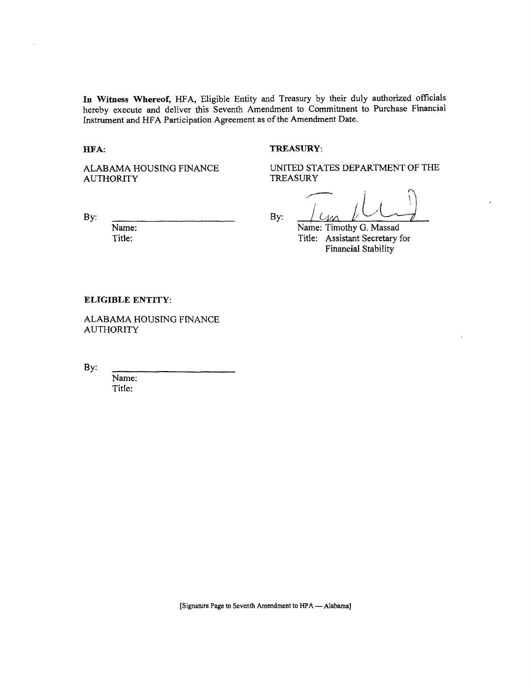**In Witness Whereof,** HFA, Eligible Entity and Treasury by their duly authorized officials hereby execute and deliver this Seventh Amendment to Commitment to Purchase Financial Instrument and HFA Participation Agreement as of the Amendment Date.

**HFA:** 

#### **TREASURY:**

ALABAMA HOUSING FINANCE AUTHORITY

UNITED STATES DEPARTMENT OF THE TREASURY

Name: Title:

By:  $\frac{1}{4}$  By:  $\frac{1}{4}$ Name: Timothy G. Massad Title: Assistant Secretary for Financial Stability

#### **ELIGIBLE ENTITY:**

ALABAMA HOUSING FINANCE AUTHORITY

By:

Name: Title: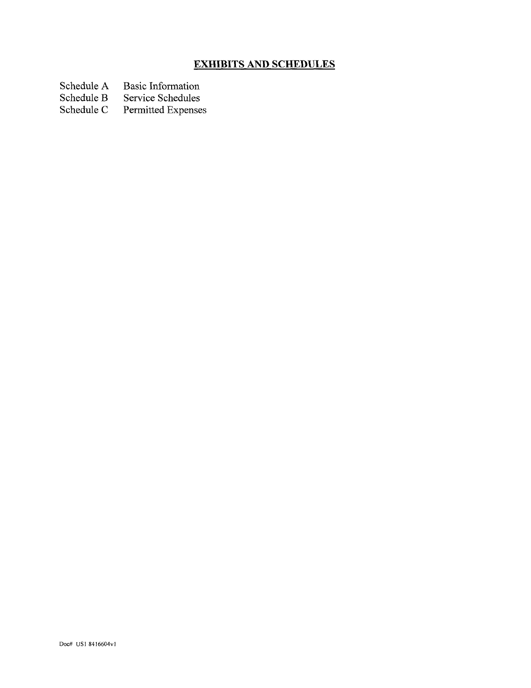# **EXHIBITS AND SCHEDULES**

Schedule A Basic Information<br>Schedule B Service Schedules

Schedule B Service Schedules<br>Schedule C Permitted Expense

Permitted Expenses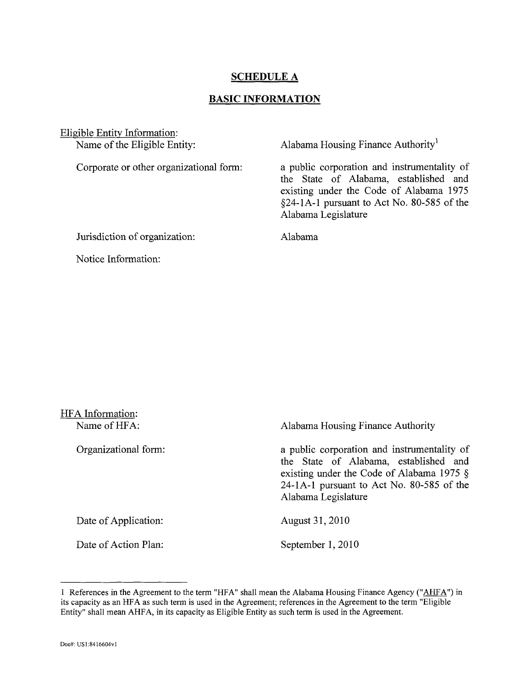# **SCHEDULE A**

#### **BASIC INFORMATION**

Eligible Entity Information: Name of the Eligible Entity:

Corporate or other organizational form:

Alabama Housing Finance Authority<sup>1</sup>

a public corporation and instrumentality of the State of Alabama, established and existing under the Code of Alabama 1975  $§24-1A-1$  pursuant to Act No. 80-585 of the Alabama Legislature

Alabama

Notice Information:

Jurisdiction of organization:

| HFA Information:<br>Name of HFA: | Alabama Housing Finance Authority                                                                                                                                                                        |
|----------------------------------|----------------------------------------------------------------------------------------------------------------------------------------------------------------------------------------------------------|
| Organizational form:             | a public corporation and instrumentality of<br>the State of Alabama, established and<br>existing under the Code of Alabama 1975 $\S$<br>24-1A-1 pursuant to Act No. 80-585 of the<br>Alabama Legislature |
| Date of Application:             | August 31, 2010                                                                                                                                                                                          |
| Date of Action Plan:             | September 1, 2010                                                                                                                                                                                        |

<sup>1</sup> References in the Agreement to the term "HFA" shall mean the Alabama Housing Finance Agency ("AHFA") in its capacity as an HFA as such term is used in the Agreement; references in the Agreement to the term "Eligible Entity" shall mean AHFA, in its capacity as Eligible Entity as such term is used in the Agreement.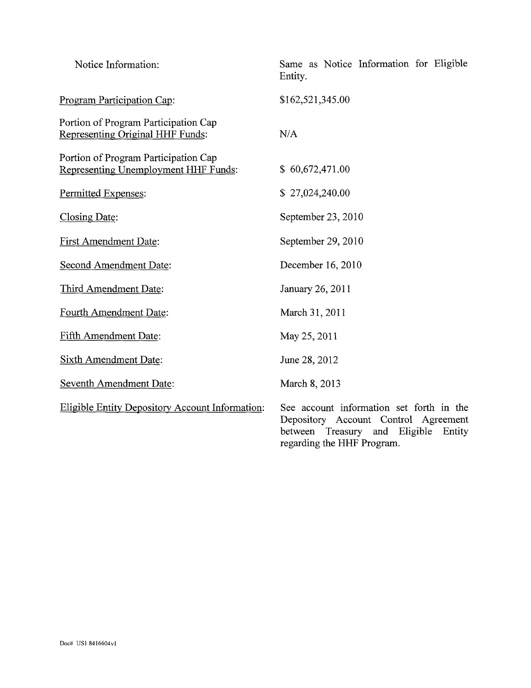| Notice Information:                                                          | Same as Notice Information for Eligible<br>Entity.                                                                                                           |
|------------------------------------------------------------------------------|--------------------------------------------------------------------------------------------------------------------------------------------------------------|
| Program Participation Cap:                                                   | \$162,521,345.00                                                                                                                                             |
| Portion of Program Participation Cap<br>Representing Original HHF Funds:     | N/A                                                                                                                                                          |
| Portion of Program Participation Cap<br>Representing Unemployment HHF Funds: | \$60,672,471.00                                                                                                                                              |
| Permitted Expenses:                                                          | \$27,024,240.00                                                                                                                                              |
| Closing Date:                                                                | September 23, 2010                                                                                                                                           |
| <b>First Amendment Date:</b>                                                 | September 29, 2010                                                                                                                                           |
| <b>Second Amendment Date:</b>                                                | December 16, 2010                                                                                                                                            |
| Third Amendment Date:                                                        | January 26, 2011                                                                                                                                             |
| Fourth Amendment Date:                                                       | March 31, 2011                                                                                                                                               |
| <b>Fifth Amendment Date:</b>                                                 | May 25, 2011                                                                                                                                                 |
| <b>Sixth Amendment Date:</b>                                                 | June 28, 2012                                                                                                                                                |
| <b>Seventh Amendment Date:</b>                                               | March 8, 2013                                                                                                                                                |
| <b>Eligible Entity Depository Account Information:</b>                       | See account information set forth in the<br>Depository Account Control Agreement<br>Treasury and Eligible<br>between<br>Entity<br>regarding the HHF Program. |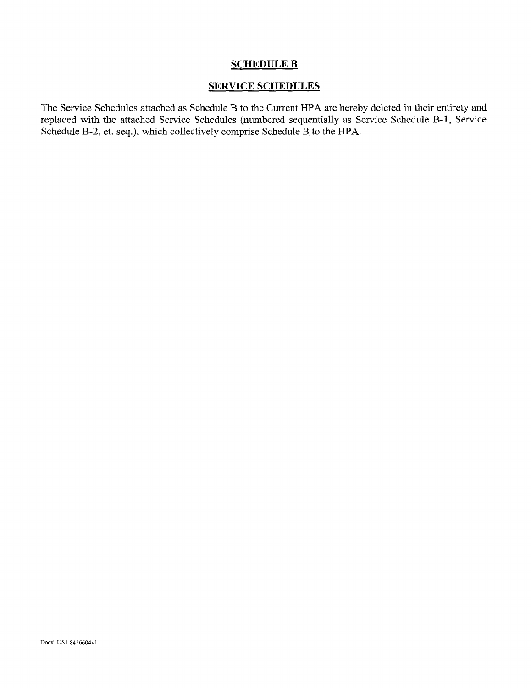# SCHEDULE B

#### SERVICE SCHEDULES

The Service Schedules attached as Schedule B to the Current HPA are hereby deleted in their entirety and replaced with the attached Service Schedules (numbered sequentially as Service Schedule B-l, Service Schedule B-2, et. seq.), which collectively comprise Schedule B to the HPA.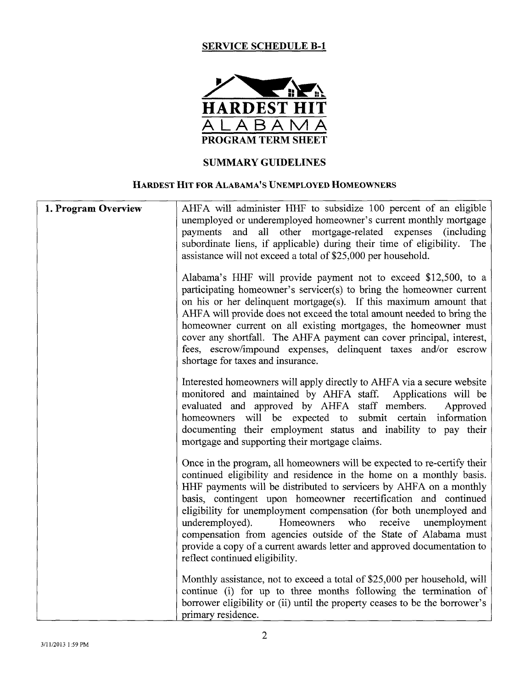# **SERVICE SCHEDULE B-l**



# **SUMMARY GUIDELINES**

#### HARDEST **HIT FOR** ALABAMA'S UNEMPLOYED HOMEOWNERS

| 1. Program Overview | AHFA will administer HHF to subsidize 100 percent of an eligible<br>unemployed or underemployed homeowner's current monthly mortgage<br>payments and all other mortgage-related expenses (including<br>subordinate liens, if applicable) during their time of eligibility. The<br>assistance will not exceed a total of \$25,000 per household.                                                                                                                                                                                                                                                                  |
|---------------------|------------------------------------------------------------------------------------------------------------------------------------------------------------------------------------------------------------------------------------------------------------------------------------------------------------------------------------------------------------------------------------------------------------------------------------------------------------------------------------------------------------------------------------------------------------------------------------------------------------------|
|                     | Alabama's HHF will provide payment not to exceed \$12,500, to a<br>participating homeowner's servicer(s) to bring the homeowner current<br>on his or her delinquent mortgage(s). If this maximum amount that<br>AHFA will provide does not exceed the total amount needed to bring the<br>homeowner current on all existing mortgages, the homeowner must<br>cover any shortfall. The AHFA payment can cover principal, interest,<br>fees, escrow/impound expenses, delinquent taxes and/or escrow<br>shortage for taxes and insurance.                                                                          |
|                     | Interested homeowners will apply directly to AHFA via a secure website<br>monitored and maintained by AHFA staff. Applications will be<br>evaluated and approved by AHFA staff members.<br>Approved<br>homeowners will be expected to submit certain information<br>documenting their employment status and inability to pay their<br>mortgage and supporting their mortgage claims.                                                                                                                                                                                                                             |
|                     | Once in the program, all homeowners will be expected to re-certify their<br>continued eligibility and residence in the home on a monthly basis.<br>HHF payments will be distributed to servicers by AHFA on a monthly<br>basis, contingent upon homeowner recertification and continued<br>eligibility for unemployment compensation (for both unemployed and<br>who<br>receive<br>underemployed).<br>Homeowners<br>unemployment<br>compensation from agencies outside of the State of Alabama must<br>provide a copy of a current awards letter and approved documentation to<br>reflect continued eligibility. |
|                     | Monthly assistance, not to exceed a total of \$25,000 per household, will<br>continue (i) for up to three months following the termination of<br>borrower eligibility or (ii) until the property ceases to be the borrower's<br>primary residence.                                                                                                                                                                                                                                                                                                                                                               |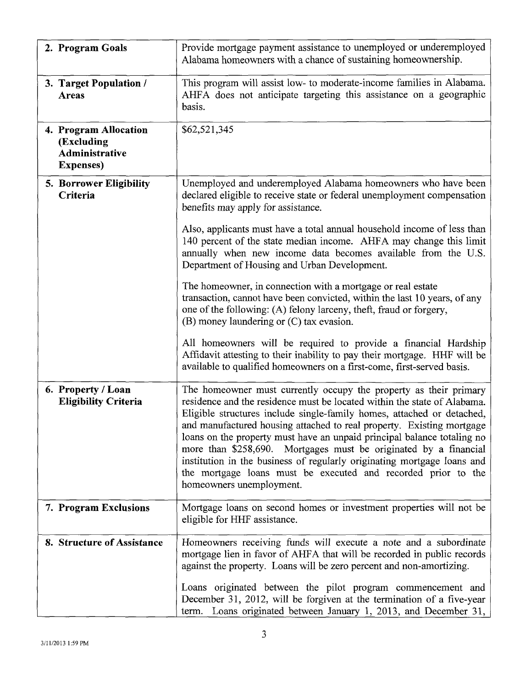| 2. Program Goals                                                                  | Provide mortgage payment assistance to unemployed or underemployed<br>Alabama homeowners with a chance of sustaining homeownership.                                                                                                                                                                                                                                                                                                                                                                                                                                                                                     |
|-----------------------------------------------------------------------------------|-------------------------------------------------------------------------------------------------------------------------------------------------------------------------------------------------------------------------------------------------------------------------------------------------------------------------------------------------------------------------------------------------------------------------------------------------------------------------------------------------------------------------------------------------------------------------------------------------------------------------|
| 3. Target Population /<br><b>Areas</b>                                            | This program will assist low- to moderate-income families in Alabama.<br>AHFA does not anticipate targeting this assistance on a geographic<br>basis.                                                                                                                                                                                                                                                                                                                                                                                                                                                                   |
| 4. Program Allocation<br>(Excluding<br><b>Administrative</b><br><b>Expenses</b> ) | \$62,521,345                                                                                                                                                                                                                                                                                                                                                                                                                                                                                                                                                                                                            |
| 5. Borrower Eligibility<br>Criteria                                               | Unemployed and underemployed Alabama homeowners who have been<br>declared eligible to receive state or federal unemployment compensation<br>benefits may apply for assistance.                                                                                                                                                                                                                                                                                                                                                                                                                                          |
|                                                                                   | Also, applicants must have a total annual household income of less than<br>140 percent of the state median income. AHFA may change this limit<br>annually when new income data becomes available from the U.S.<br>Department of Housing and Urban Development.                                                                                                                                                                                                                                                                                                                                                          |
|                                                                                   | The homeowner, in connection with a mortgage or real estate<br>transaction, cannot have been convicted, within the last 10 years, of any<br>one of the following: (A) felony larceny, theft, fraud or forgery,<br>(B) money laundering or (C) tax evasion.                                                                                                                                                                                                                                                                                                                                                              |
|                                                                                   | All homeowners will be required to provide a financial Hardship<br>Affidavit attesting to their inability to pay their mortgage. HHF will be<br>available to qualified homeowners on a first-come, first-served basis.                                                                                                                                                                                                                                                                                                                                                                                                  |
| 6. Property / Loan<br><b>Eligibility Criteria</b>                                 | The homeowner must currently occupy the property as their primary<br>residence and the residence must be located within the state of Alabama.<br>Eligible structures include single-family homes, attached or detached,<br>and manufactured housing attached to real property. Existing mortgage<br>loans on the property must have an unpaid principal balance totaling no<br>more than \$258,690. Mortgages must be originated by a financial<br>institution in the business of regularly originating mortgage loans and<br>the mortgage loans must be executed and recorded prior to the<br>homeowners unemployment. |
| 7. Program Exclusions                                                             | Mortgage loans on second homes or investment properties will not be<br>eligible for HHF assistance.                                                                                                                                                                                                                                                                                                                                                                                                                                                                                                                     |
| 8. Structure of Assistance                                                        | Homeowners receiving funds will execute a note and a subordinate<br>mortgage lien in favor of AHFA that will be recorded in public records<br>against the property. Loans will be zero percent and non-amortizing.<br>Loans originated between the pilot program commencement and<br>December 31, 2012, will be forgiven at the termination of a five-year<br>term. Loans originated between January 1, 2013, and December 31,                                                                                                                                                                                          |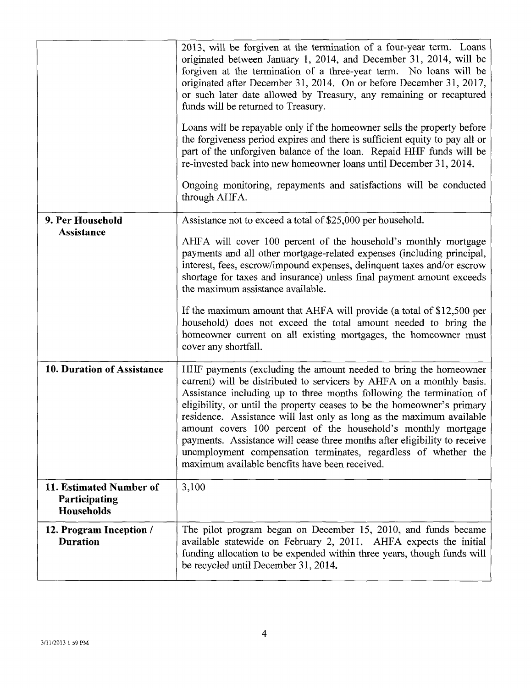|                                                        | 2013, will be forgiven at the termination of a four-year term. Loans<br>originated between January 1, 2014, and December 31, 2014, will be<br>forgiven at the termination of a three-year term. No loans will be<br>originated after December 31, 2014. On or before December 31, 2017,<br>or such later date allowed by Treasury, any remaining or recaptured<br>funds will be returned to Treasury.<br>Loans will be repayable only if the homeowner sells the property before<br>the forgiveness period expires and there is sufficient equity to pay all or<br>part of the unforgiven balance of the loan. Repaid HHF funds will be<br>re-invested back into new homeowner loans until December 31, 2014.<br>Ongoing monitoring, repayments and satisfactions will be conducted<br>through AHFA. |
|--------------------------------------------------------|------------------------------------------------------------------------------------------------------------------------------------------------------------------------------------------------------------------------------------------------------------------------------------------------------------------------------------------------------------------------------------------------------------------------------------------------------------------------------------------------------------------------------------------------------------------------------------------------------------------------------------------------------------------------------------------------------------------------------------------------------------------------------------------------------|
| 9. Per Household                                       | Assistance not to exceed a total of \$25,000 per household.                                                                                                                                                                                                                                                                                                                                                                                                                                                                                                                                                                                                                                                                                                                                          |
| Assistance                                             | AHFA will cover 100 percent of the household's monthly mortgage<br>payments and all other mortgage-related expenses (including principal,<br>interest, fees, escrow/impound expenses, delinquent taxes and/or escrow<br>shortage for taxes and insurance) unless final payment amount exceeds<br>the maximum assistance available.                                                                                                                                                                                                                                                                                                                                                                                                                                                                   |
|                                                        | If the maximum amount that AHFA will provide (a total of \$12,500 per<br>household) does not exceed the total amount needed to bring the<br>homeowner current on all existing mortgages, the homeowner must<br>cover any shortfall.                                                                                                                                                                                                                                                                                                                                                                                                                                                                                                                                                                  |
| 10. Duration of Assistance                             | HHF payments (excluding the amount needed to bring the homeowner<br>current) will be distributed to servicers by AHFA on a monthly basis.<br>Assistance including up to three months following the termination of<br>eligibility, or until the property ceases to be the homeowner's primary<br>residence. Assistance will last only as long as the maximum available<br>amount covers 100 percent of the household's monthly mortgage<br>payments. Assistance will cease three months after eligibility to receive<br>unemployment compensation terminates, regardless of whether the<br>maximum available benefits have been received.                                                                                                                                                             |
| 11. Estimated Number of<br>Participating<br>Households | 3,100                                                                                                                                                                                                                                                                                                                                                                                                                                                                                                                                                                                                                                                                                                                                                                                                |
| 12. Program Inception /<br><b>Duration</b>             | The pilot program began on December 15, 2010, and funds became<br>available statewide on February 2, 2011. AHFA expects the initial<br>funding allocation to be expended within three years, though funds will<br>be recycled until December 31, 2014.                                                                                                                                                                                                                                                                                                                                                                                                                                                                                                                                               |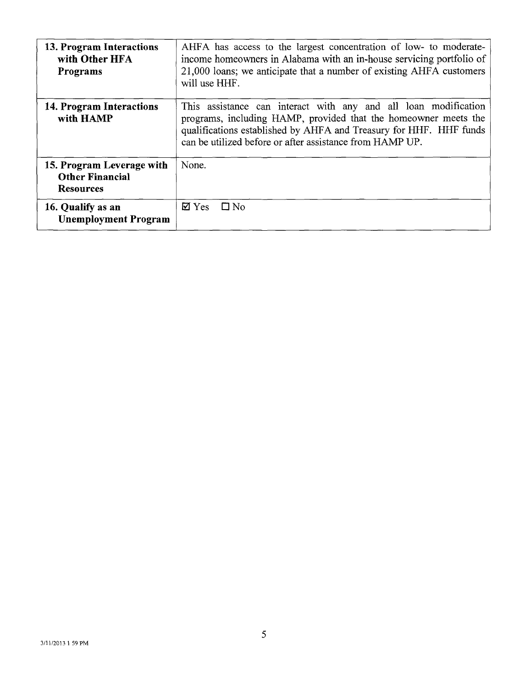| 13. Program Interactions<br>with Other HFA<br><b>Programs</b>           | AHFA has access to the largest concentration of low- to moderate-<br>income homeowners in Alabama with an in-house servicing portfolio of<br>21,000 loans; we anticipate that a number of existing AHFA customers<br>will use HHF.                                   |
|-------------------------------------------------------------------------|----------------------------------------------------------------------------------------------------------------------------------------------------------------------------------------------------------------------------------------------------------------------|
| 14. Program Interactions<br>with HAMP                                   | This assistance can interact with any and all loan modification<br>programs, including HAMP, provided that the homeowner meets the<br>qualifications established by AHFA and Treasury for HHF. HHF funds<br>can be utilized before or after assistance from HAMP UP. |
| 15. Program Leverage with<br><b>Other Financial</b><br><b>Resources</b> | None.                                                                                                                                                                                                                                                                |
| 16. Qualify as an<br><b>Unemployment Program</b>                        | $\boxtimes$ Yes<br>$\square$ No                                                                                                                                                                                                                                      |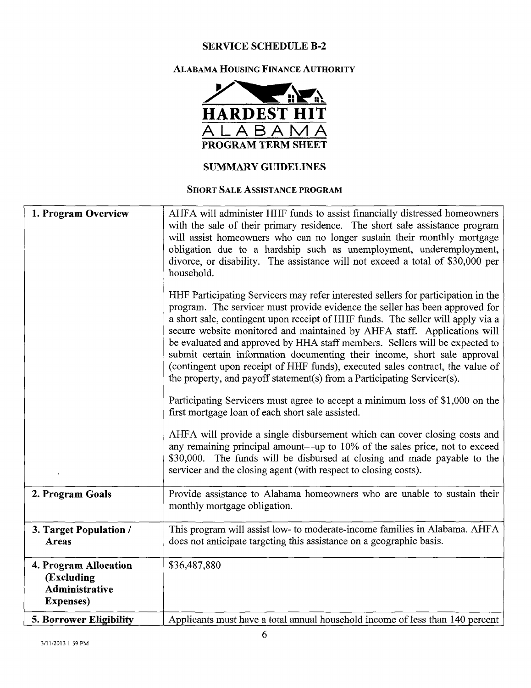# **SERVICE SCHEDULE B-2**

# **ALABAMA HOUSING FINANCE AUTHORITY**



#### **SHORT SALE ASSISTANCE PROGRAM**

| 1. Program Overview                                                        | AHFA will administer HHF funds to assist financially distressed homeowners<br>with the sale of their primary residence. The short sale assistance program<br>will assist homeowners who can no longer sustain their monthly mortgage<br>obligation due to a hardship such as unemployment, underemployment,<br>divorce, or disability. The assistance will not exceed a total of \$30,000 per<br>household.<br>HHF Participating Servicers may refer interested sellers for participation in the<br>program. The servicer must provide evidence the seller has been approved for<br>a short sale, contingent upon receipt of HHF funds. The seller will apply via a<br>secure website monitored and maintained by AHFA staff. Applications will<br>be evaluated and approved by HHA staff members. Sellers will be expected to<br>submit certain information documenting their income, short sale approval<br>(contingent upon receipt of HHF funds), executed sales contract, the value of<br>the property, and payoff statement(s) from a Participating Servicer(s).<br>Participating Servicers must agree to accept a minimum loss of \$1,000 on the<br>first mortgage loan of each short sale assisted.<br>AHFA will provide a single disbursement which can cover closing costs and<br>any remaining principal amount—up to 10% of the sales price, not to exceed |
|----------------------------------------------------------------------------|------------------------------------------------------------------------------------------------------------------------------------------------------------------------------------------------------------------------------------------------------------------------------------------------------------------------------------------------------------------------------------------------------------------------------------------------------------------------------------------------------------------------------------------------------------------------------------------------------------------------------------------------------------------------------------------------------------------------------------------------------------------------------------------------------------------------------------------------------------------------------------------------------------------------------------------------------------------------------------------------------------------------------------------------------------------------------------------------------------------------------------------------------------------------------------------------------------------------------------------------------------------------------------------------------------------------------------------------------------------------|
|                                                                            | \$30,000. The funds will be disbursed at closing and made payable to the<br>servicer and the closing agent (with respect to closing costs).                                                                                                                                                                                                                                                                                                                                                                                                                                                                                                                                                                                                                                                                                                                                                                                                                                                                                                                                                                                                                                                                                                                                                                                                                            |
| 2. Program Goals                                                           | Provide assistance to Alabama homeowners who are unable to sustain their<br>monthly mortgage obligation.                                                                                                                                                                                                                                                                                                                                                                                                                                                                                                                                                                                                                                                                                                                                                                                                                                                                                                                                                                                                                                                                                                                                                                                                                                                               |
| 3. Target Population /<br>Areas                                            | This program will assist low- to moderate-income families in Alabama. AHFA<br>does not anticipate targeting this assistance on a geographic basis.                                                                                                                                                                                                                                                                                                                                                                                                                                                                                                                                                                                                                                                                                                                                                                                                                                                                                                                                                                                                                                                                                                                                                                                                                     |
| 4. Program Allocation<br>(Excluding<br>Administrative<br><b>Expenses</b> ) | \$36,487,880                                                                                                                                                                                                                                                                                                                                                                                                                                                                                                                                                                                                                                                                                                                                                                                                                                                                                                                                                                                                                                                                                                                                                                                                                                                                                                                                                           |
| 5. Borrower Eligibility                                                    | Applicants must have a total annual household income of less than 140 percent                                                                                                                                                                                                                                                                                                                                                                                                                                                                                                                                                                                                                                                                                                                                                                                                                                                                                                                                                                                                                                                                                                                                                                                                                                                                                          |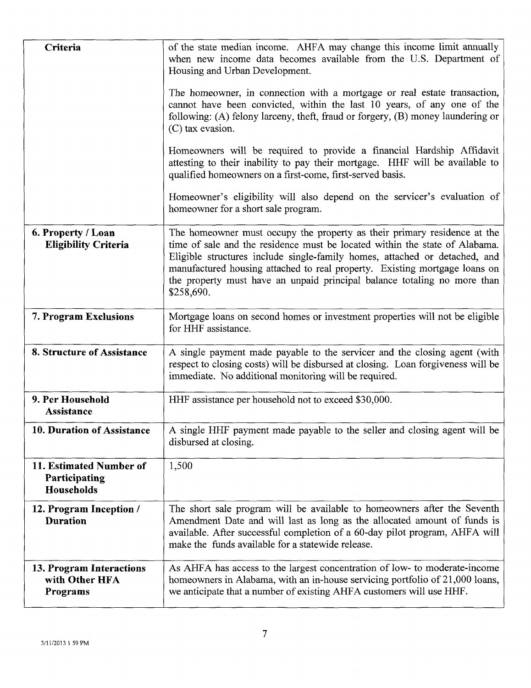| Criteria                                                      | of the state median income. AHFA may change this income limit annually<br>when new income data becomes available from the U.S. Department of<br>Housing and Urban Development.                                                                                                                                                                                                                                |
|---------------------------------------------------------------|---------------------------------------------------------------------------------------------------------------------------------------------------------------------------------------------------------------------------------------------------------------------------------------------------------------------------------------------------------------------------------------------------------------|
|                                                               | The homeowner, in connection with a mortgage or real estate transaction,<br>cannot have been convicted, within the last 10 years, of any one of the<br>following: (A) felony larceny, theft, fraud or forgery, (B) money laundering or<br>(C) tax evasion.                                                                                                                                                    |
|                                                               | Homeowners will be required to provide a financial Hardship Affidavit<br>attesting to their inability to pay their mortgage. HHF will be available to<br>qualified homeowners on a first-come, first-served basis.                                                                                                                                                                                            |
|                                                               | Homeowner's eligibility will also depend on the servicer's evaluation of<br>homeowner for a short sale program.                                                                                                                                                                                                                                                                                               |
| 6. Property / Loan<br><b>Eligibility Criteria</b>             | The homeowner must occupy the property as their primary residence at the<br>time of sale and the residence must be located within the state of Alabama.<br>Eligible structures include single-family homes, attached or detached, and<br>manufactured housing attached to real property. Existing mortgage loans on<br>the property must have an unpaid principal balance totaling no more than<br>\$258,690. |
| 7. Program Exclusions                                         | Mortgage loans on second homes or investment properties will not be eligible<br>for HHF assistance.                                                                                                                                                                                                                                                                                                           |
| 8. Structure of Assistance                                    | A single payment made payable to the servicer and the closing agent (with<br>respect to closing costs) will be disbursed at closing. Loan forgiveness will be<br>immediate. No additional monitoring will be required.                                                                                                                                                                                        |
| 9. Per Household<br>Assistance                                | HHF assistance per household not to exceed \$30,000.                                                                                                                                                                                                                                                                                                                                                          |
| 10. Duration of Assistance                                    | A single HHF payment made payable to the seller and closing agent will be<br>disbursed at closing.                                                                                                                                                                                                                                                                                                            |
| 11. Estimated Number of<br>Participating<br><b>Households</b> | 1,500                                                                                                                                                                                                                                                                                                                                                                                                         |
| 12. Program Inception /<br><b>Duration</b>                    | The short sale program will be available to homeowners after the Seventh<br>Amendment Date and will last as long as the allocated amount of funds is<br>available. After successful completion of a 60-day pilot program, AHFA will<br>make the funds available for a statewide release.                                                                                                                      |
| 13. Program Interactions<br>with Other HFA<br>Programs        | As AHFA has access to the largest concentration of low- to moderate-income<br>homeowners in Alabama, with an in-house servicing portfolio of 21,000 loans,<br>we anticipate that a number of existing AHFA customers will use HHF.                                                                                                                                                                            |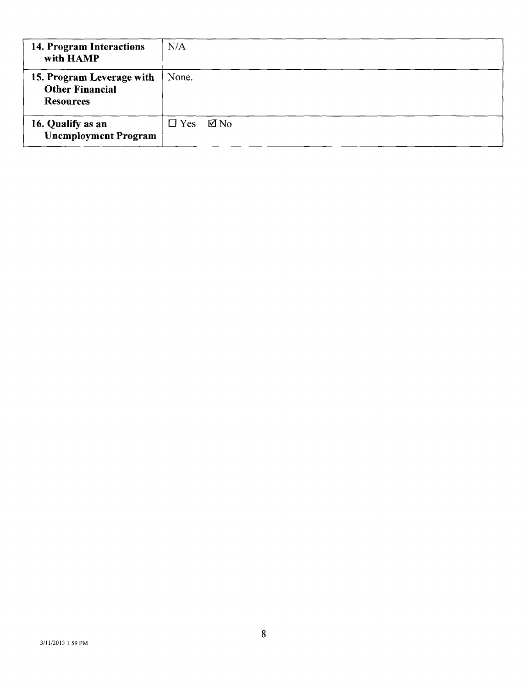| 14. Program Interactions<br>with HAMP                                   | N/A                          |
|-------------------------------------------------------------------------|------------------------------|
| 15. Program Leverage with<br><b>Other Financial</b><br><b>Resources</b> | None.                        |
| 16. Qualify as an<br><b>Unemployment Program</b>                        | $\boxtimes$ No<br>$\Box$ Yes |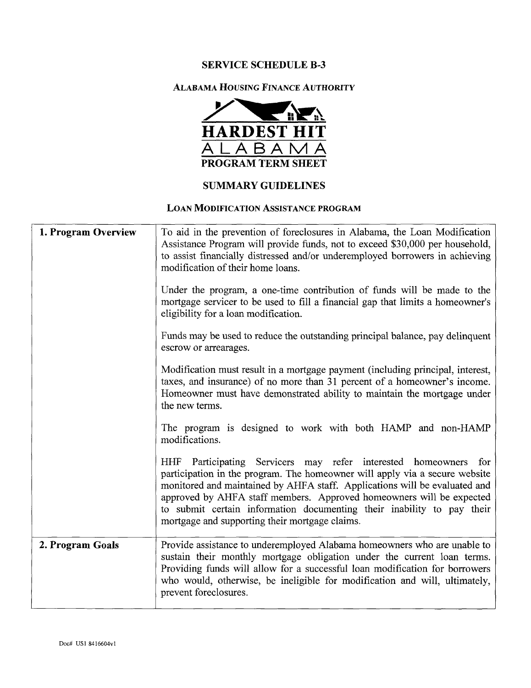# SERVICE SCHEDULE B-3



#### SUMMARY GUIDELINES

#### LOAN MODIFICATION ASSISTANCE PROGRAM

| 1. Program Overview | To aid in the prevention of foreclosures in Alabama, the Loan Modification<br>Assistance Program will provide funds, not to exceed \$30,000 per household,<br>to assist financially distressed and/or underemployed borrowers in achieving<br>modification of their home loans.<br>Under the program, a one-time contribution of funds will be made to the<br>mortgage servicer to be used to fill a financial gap that limits a homeowner's<br>eligibility for a loan modification. |
|---------------------|--------------------------------------------------------------------------------------------------------------------------------------------------------------------------------------------------------------------------------------------------------------------------------------------------------------------------------------------------------------------------------------------------------------------------------------------------------------------------------------|
|                     | Funds may be used to reduce the outstanding principal balance, pay delinquent<br>escrow or arrearages.                                                                                                                                                                                                                                                                                                                                                                               |
|                     | Modification must result in a mortgage payment (including principal, interest,<br>taxes, and insurance) of no more than 31 percent of a homeowner's income.<br>Homeowner must have demonstrated ability to maintain the mortgage under<br>the new terms.                                                                                                                                                                                                                             |
|                     | The program is designed to work with both HAMP and non-HAMP<br>modifications.                                                                                                                                                                                                                                                                                                                                                                                                        |
|                     | HHF Participating Servicers may refer interested homeowners for<br>participation in the program. The homeowner will apply via a secure website<br>monitored and maintained by AHFA staff. Applications will be evaluated and<br>approved by AHFA staff members. Approved homeowners will be expected<br>to submit certain information documenting their inability to pay their<br>mortgage and supporting their mortgage claims.                                                     |
| 2. Program Goals    | Provide assistance to underemployed Alabama homeowners who are unable to<br>sustain their monthly mortgage obligation under the current loan terms.<br>Providing funds will allow for a successful loan modification for borrowers<br>who would, otherwise, be ineligible for modification and will, ultimately,<br>prevent foreclosures.                                                                                                                                            |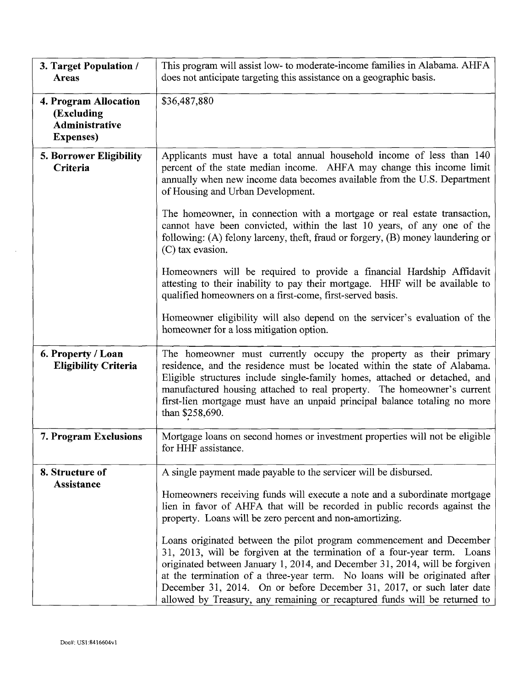| 3. Target Population /<br><b>Areas</b>                                     | This program will assist low- to moderate-income families in Alabama. AHFA<br>does not anticipate targeting this assistance on a geographic basis.                                                                                                                                                                                                                                                                                                                                                                                                                                                                                                                                                                                                             |
|----------------------------------------------------------------------------|----------------------------------------------------------------------------------------------------------------------------------------------------------------------------------------------------------------------------------------------------------------------------------------------------------------------------------------------------------------------------------------------------------------------------------------------------------------------------------------------------------------------------------------------------------------------------------------------------------------------------------------------------------------------------------------------------------------------------------------------------------------|
| 4. Program Allocation<br>(Excluding<br>Administrative<br><b>Expenses</b> ) | \$36,487,880                                                                                                                                                                                                                                                                                                                                                                                                                                                                                                                                                                                                                                                                                                                                                   |
| 5. Borrower Eligibility<br>Criteria                                        | Applicants must have a total annual household income of less than 140<br>percent of the state median income. AHFA may change this income limit<br>annually when new income data becomes available from the U.S. Department<br>of Housing and Urban Development.                                                                                                                                                                                                                                                                                                                                                                                                                                                                                                |
|                                                                            | The homeowner, in connection with a mortgage or real estate transaction,<br>cannot have been convicted, within the last 10 years, of any one of the<br>following: (A) felony larceny, theft, fraud or forgery, (B) money laundering or<br>(C) tax evasion.                                                                                                                                                                                                                                                                                                                                                                                                                                                                                                     |
|                                                                            | Homeowners will be required to provide a financial Hardship Affidavit<br>attesting to their inability to pay their mortgage. HHF will be available to<br>qualified homeowners on a first-come, first-served basis.                                                                                                                                                                                                                                                                                                                                                                                                                                                                                                                                             |
|                                                                            | Homeowner eligibility will also depend on the servicer's evaluation of the<br>homeowner for a loss mitigation option.                                                                                                                                                                                                                                                                                                                                                                                                                                                                                                                                                                                                                                          |
| 6. Property / Loan<br><b>Eligibility Criteria</b>                          | The homeowner must currently occupy the property as their primary<br>residence, and the residence must be located within the state of Alabama.<br>Eligible structures include single-family homes, attached or detached, and<br>manufactured housing attached to real property. The homeowner's current<br>first-lien mortgage must have an unpaid principal balance totaling no more<br>than \$258,690.                                                                                                                                                                                                                                                                                                                                                       |
| 7. Program Exclusions                                                      | Mortgage loans on second homes or investment properties will not be eligible<br>for HHF assistance.                                                                                                                                                                                                                                                                                                                                                                                                                                                                                                                                                                                                                                                            |
| 8. Structure of<br>Assistance                                              | A single payment made payable to the servicer will be disbursed.<br>Homeowners receiving funds will execute a note and a subordinate mortgage<br>lien in favor of AHFA that will be recorded in public records against the<br>property. Loans will be zero percent and non-amortizing.<br>Loans originated between the pilot program commencement and December<br>31, 2013, will be forgiven at the termination of a four-year term. Loans<br>originated between January 1, 2014, and December 31, 2014, will be forgiven<br>at the termination of a three-year term. No loans will be originated after<br>December 31, 2014. On or before December 31, 2017, or such later date<br>allowed by Treasury, any remaining or recaptured funds will be returned to |

 $\bar{.}$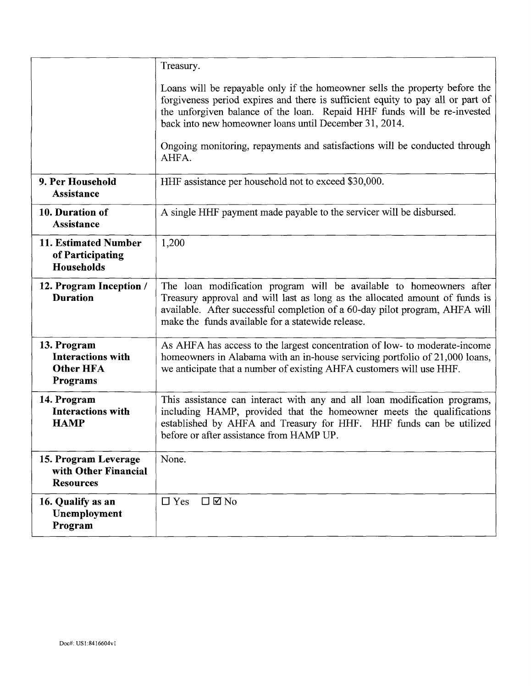|                                                                  | Treasury.                                                                                                                                                                                                                                                                                            |
|------------------------------------------------------------------|------------------------------------------------------------------------------------------------------------------------------------------------------------------------------------------------------------------------------------------------------------------------------------------------------|
|                                                                  | Loans will be repayable only if the homeowner sells the property before the<br>forgiveness period expires and there is sufficient equity to pay all or part of<br>the unforgiven balance of the loan. Repaid HHF funds will be re-invested<br>back into new homeowner loans until December 31, 2014. |
|                                                                  | Ongoing monitoring, repayments and satisfactions will be conducted through<br>AHFA.                                                                                                                                                                                                                  |
| 9. Per Household<br><b>Assistance</b>                            | HHF assistance per household not to exceed \$30,000.                                                                                                                                                                                                                                                 |
| 10. Duration of<br>Assistance                                    | A single HHF payment made payable to the servicer will be disbursed.                                                                                                                                                                                                                                 |
| 11. Estimated Number<br>of Participating<br><b>Households</b>    | 1,200                                                                                                                                                                                                                                                                                                |
| 12. Program Inception /<br><b>Duration</b>                       | The loan modification program will be available to homeowners after<br>Treasury approval and will last as long as the allocated amount of funds is<br>available. After successful completion of a 60-day pilot program, AHFA will<br>make the funds available for a statewide release.               |
| 13. Program<br>Interactions with<br><b>Other HFA</b><br>Programs | As AHFA has access to the largest concentration of low- to moderate-income<br>homeowners in Alabama with an in-house servicing portfolio of 21,000 loans,<br>we anticipate that a number of existing AHFA customers will use HHF.                                                                    |
| 14. Program<br><b>Interactions with</b><br><b>HAMP</b>           | This assistance can interact with any and all loan modification programs,<br>including HAMP, provided that the homeowner meets the qualifications<br>established by AHFA and Treasury for HHF. HHF funds can be utilized<br>before or after assistance from HAMP UP.                                 |
| 15. Program Leverage<br>with Other Financial<br><b>Resources</b> | None.                                                                                                                                                                                                                                                                                                |
| 16. Qualify as an<br>Unemployment<br>Program                     | $\Box$ $\Box$ No<br>$\Box$ Yes                                                                                                                                                                                                                                                                       |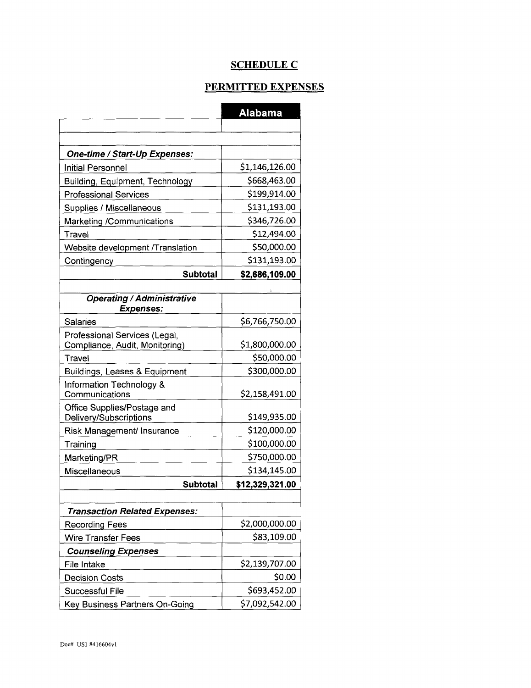# **SCHEDULE C**

# PERMITTED EXPENSES

|                                            | <b>Alabama</b>  |
|--------------------------------------------|-----------------|
|                                            |                 |
| One-time / Start-Up Expenses:              |                 |
| Initial Personnel                          | \$1,146,126.00  |
| Building, Equipment, Technology            | \$668,463.00    |
| <b>Professional Services</b>               | \$199,914.00    |
|                                            | \$131,193.00    |
| Supplies / Miscellaneous                   | \$346,726.00    |
| Marketing /Communications                  | \$12,494.00     |
| Travel                                     |                 |
| Website development /Translation           | \$50,000.00     |
| Contingency                                | \$131,193.00    |
| <b>Subtotal</b>                            | \$2,686,109.00  |
| <b>Operating / Administrative</b>          |                 |
| <b>Expenses:</b>                           |                 |
| <b>Salaries</b>                            | \$6,766,750.00  |
| Professional Services (Legal,              |                 |
| Compliance, Audit, Monitoring)             | \$1,800,000.00  |
| Travel                                     | \$50,000.00     |
| Buildings, Leases & Equipment              | \$300,000.00    |
| Information Technology &<br>Communications | \$2,158,491.00  |
| Office Supplies/Postage and                |                 |
| Delivery/Subscriptions                     | \$149,935.00    |
| Risk Management/ Insurance                 | \$120,000.00    |
| Training                                   | \$100,000.00    |
| Marketing/PR                               | \$750,000.00    |
| Miscellaneous                              | \$134,145.00    |
| <b>Subtotal</b>                            | \$12,329,321.00 |
|                                            |                 |
| <b>Transaction Related Expenses:</b>       |                 |
| <b>Recording Fees</b>                      | \$2,000,000.00  |
| <b>Wire Transfer Fees</b>                  | \$83,109.00     |
| <b>Counseling Expenses</b>                 |                 |
| File Intake                                | \$2,139,707.00  |
| <b>Decision Costs</b>                      | \$0.00          |
| <b>Successful File</b>                     | \$693,452.00    |
| Key Business Partners On-Going             | \$7,092,542.00  |